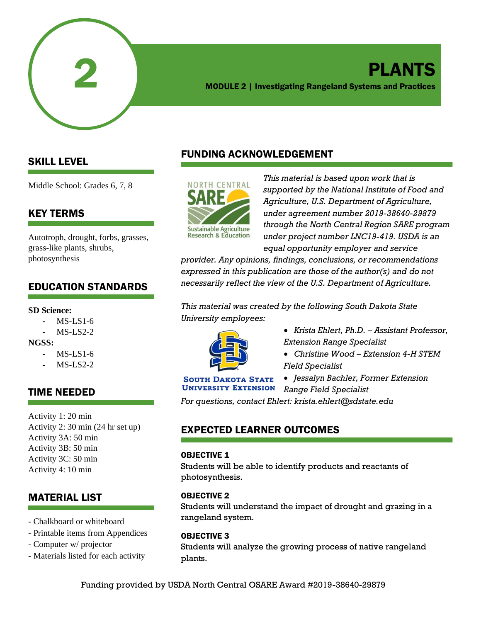

## PLANTS MODULE 2 | Investigating Rangeland Systems and Practices

## SKILL LEVEL

Middle School: Grades 6, 7, 8

## KEY TERMS

Autotroph, drought, forbs, grasses, grass-like plants, shrubs, photosynthesis

## EDUCATION STANDARDS

#### **SD Science:**

- $MS-LS1-6$
- $MS-I.S2-2$

#### **NGSS:**

- MS-LS1-6
- $MS-I.S2-2$

## TIME NEEDED

Activity 1: 20 min Activity 2: 30 min (24 hr set up) Activity 3A: 50 min Activity 3B: 50 min Activity 3C: 50 min Activity 4: 10 min

## MATERIAL LIST

- Chalkboard or whiteboard
- Printable items from Appendices
- Computer w/ projector
- Materials listed for each activity

## FUNDING ACKNOWLEDGEMENT



*This material is based upon work that is supported by the National Institute of Food and Agriculture, U.S. Department of Agriculture, under agreement number 2019-38640-29879 through the North Central Region SARE program under project number LNC19-419. USDA is an equal opportunity employer and service* 

*provider. Any opinions, findings, conclusions, or recommendations expressed in this publication are those of the author(s) and do not necessarily reflect the view of the U.S. Department of Agriculture.*

*This material was created by the following South Dakota State University employees:*



- *Krista Ehlert, Ph.D. – Assistant Professor, Extension Range Specialist*
- *Christine Wood – Extension 4-H STEM Field Specialist*

#### **SOUTH DAKOTA STATE UNIVERSITY EXTENSION**

• *Jessalyn Bachler, Former Extension Range Field Specialist*

*For questions, contact Ehlert: krista.ehlert@sdstate.edu*

## EXPECTED LEARNER OUTCOMES

#### OBJECTIVE 1

Students will be able to identify products and reactants of photosynthesis.

#### OBJECTIVE 2

Students will understand the impact of drought and grazing in a rangeland system.

#### OBJECTIVE 3

Students will analyze the growing process of native rangeland plants.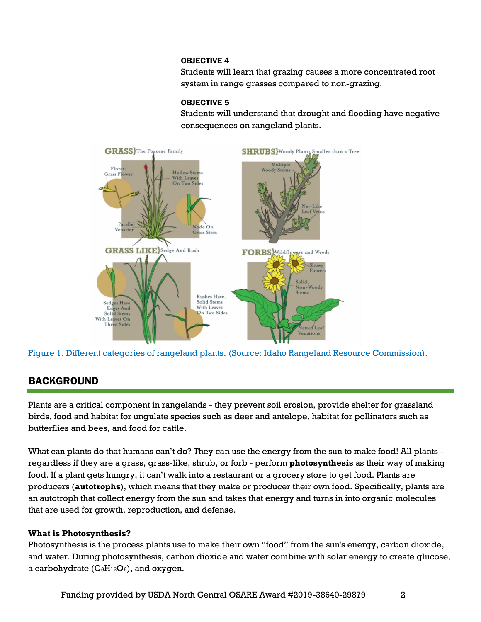#### OBJECTIVE 4

Students will learn that grazing causes a more concentrated root system in range grasses compared to non-grazing.

#### OBJECTIVE 5

Students will understand that drought and flooding have negative consequences on rangeland plants.





## BACKGROUND

Plants are a critical component in rangelands - they prevent soil erosion, provide shelter for grassland birds, food and habitat for ungulate species such as deer and antelope, habitat for pollinators such as butterflies and bees, and food for cattle.

What can plants do that humans can't do? They can use the energy from the sun to make food! All plants regardless if they are a grass, grass-like, shrub, or forb - perform **photosynthesis** as their way of making food. If a plant gets hungry, it can't walk into a restaurant or a grocery store to get food. Plants are producers (**autotrophs**), which means that they make or producer their own food. Specifically, plants are an autotroph that collect energy from the sun and takes that energy and turns in into organic molecules that are used for growth, reproduction, and defense.

#### **What is Photosynthesis?**

Photosynthesis is the process plants use to make their own "food" from the sun's energy, carbon dioxide, and water. During photosynthesis, carbon dioxide and water combine with solar energy to create glucose, a carbohydrate  $(C_6H_{12}O_6)$ , and oxygen.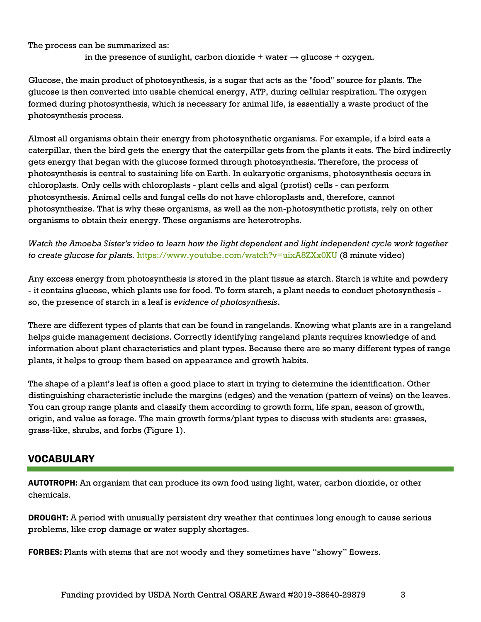The process can be summarized as:

in the presence of sunlight, carbon dioxide + water  $\rightarrow$  glucose + oxygen.

Glucose, the main product of photosynthesis, is a sugar that acts as the "food" source for plants. The glucose is then converted into usable chemical energy, ATP, during cellular respiration. The oxygen formed during photosynthesis, which is necessary for animal life, is essentially a waste product of the photosynthesis process.

Almost all organisms obtain their energy from photosynthetic organisms. For example, if a bird eats a caterpillar, then the bird gets the energy that the caterpillar gets from the plants it eats. The bird indirectly gets energy that began with the glucose formed through photosynthesis. Therefore, the process of photosynthesis is central to sustaining life on Earth. In eukaryotic organisms, photosynthesis occurs in chloroplasts. Only cells with chloroplasts - plant cells and algal (protist) cells - can perform photosynthesis. Animal cells and fungal cells do not have chloroplasts and, therefore, cannot photosynthesize. That is why these organisms, as well as the non-photosynthetic protists, rely on other organisms to obtain their energy. These organisms are heterotrophs.

*Watch the Amoeba Sister's video to learn how the light dependent and light independent cycle work together to create glucose for plants.* <https://www.youtube.com/watch?v=uixA8ZXx0KU> (8 minute video)

Any excess energy from photosynthesis is stored in the plant tissue as starch. Starch is white and powdery - it contains glucose, which plants use for food. To form starch, a plant needs to conduct photosynthesis so, the presence of starch in a leaf is *evidence of photosynthesis*.

There are different types of plants that can be found in rangelands. Knowing what plants are in a rangeland helps guide management decisions. Correctly identifying rangeland plants requires knowledge of and information about plant characteristics and plant types. Because there are so many different types of range plants, it helps to group them based on appearance and growth habits.

The shape of a plant's leaf is often a good place to start in trying to determine the identification. Other distinguishing characteristic include the margins (edges) and the venation (pattern of veins) on the leaves. You can group range plants and classify them according to growth form, life span, season of growth, origin, and value as forage. The main growth forms/plant types to discuss with students are: grasses, grass-like, shrubs, and forbs (Figure 1).

## VOCABULARY

AUTOTROPH: An organism that can produce its own food using light, water, carbon dioxide, or other chemicals.

DROUGHT: A period with unusually persistent dry weather that continues long enough to cause serious problems, like crop damage or water supply shortages.

FORBES: Plants with stems that are not woody and they sometimes have "showy" flowers.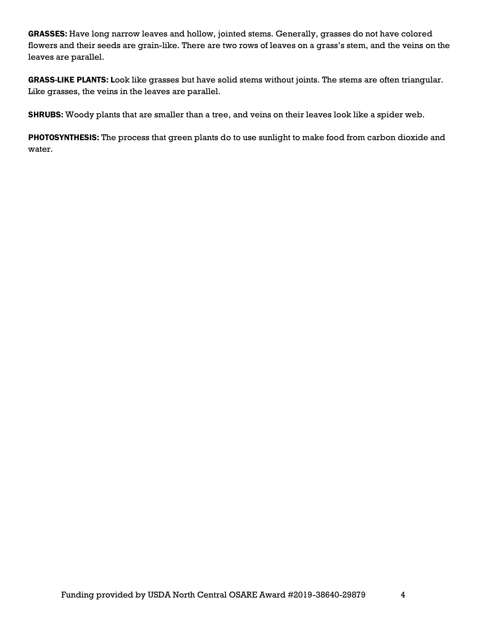GRASSES: Have long narrow leaves and hollow, jointed stems. Generally, grasses do not have colored flowers and their seeds are grain-like. There are two rows of leaves on a grass's stem, and the veins on the leaves are parallel.

GRASS-LIKE PLANTS: Look like grasses but have solid stems without joints. The stems are often triangular. Like grasses, the veins in the leaves are parallel.

SHRUBS: Woody plants that are smaller than a tree, and veins on their leaves look like a spider web.

PHOTOSYNTHESIS: The process that green plants do to use sunlight to make food from carbon dioxide and water.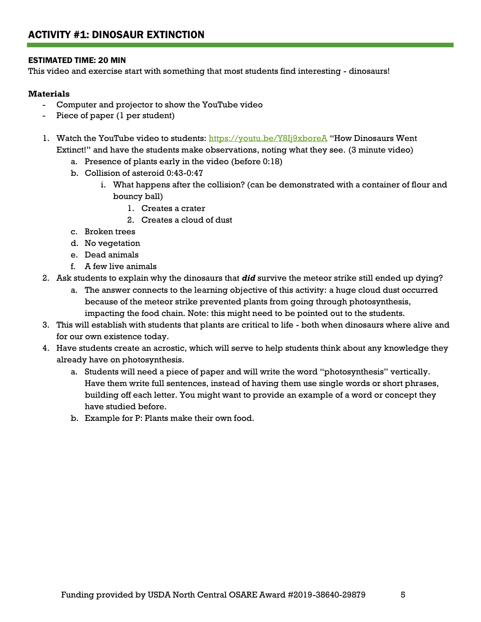#### ESTIMATED TIME: 20 MIN

This video and exercise start with something that most students find interesting - dinosaurs!

#### **Materials**

- Computer and projector to show the YouTube video
- Piece of paper (1 per student)
- 1. Watch the YouTube video to students:<https://youtu.be/Y8Ij9xboreA> "How Dinosaurs Went Extinct!" and have the students make observations, noting what they see. (3 minute video)
	- a. Presence of plants early in the video (before 0:18)
	- b. Collision of asteroid 0:43-0:47
		- i. What happens after the collision? (can be demonstrated with a container of flour and bouncy ball)
			- 1. Creates a crater
			- 2. Creates a cloud of dust
	- c. Broken trees
	- d. No vegetation
	- e. Dead animals
	- f. A few live animals
- 2. Ask students to explain why the dinosaurs that *did* survive the meteor strike still ended up dying?
	- a. The answer connects to the learning objective of this activity: a huge cloud dust occurred because of the meteor strike prevented plants from going through photosynthesis, impacting the food chain. Note: this might need to be pointed out to the students.
- 3. This will establish with students that plants are critical to life both when dinosaurs where alive and for our own existence today.
- 4. Have students create an acrostic, which will serve to help students think about any knowledge they already have on photosynthesis.
	- a. Students will need a piece of paper and will write the word "photosynthesis" vertically. Have them write full sentences, instead of having them use single words or short phrases, building off each letter. You might want to provide an example of a word or concept they have studied before.
	- b. Example for P: Plants make their own food.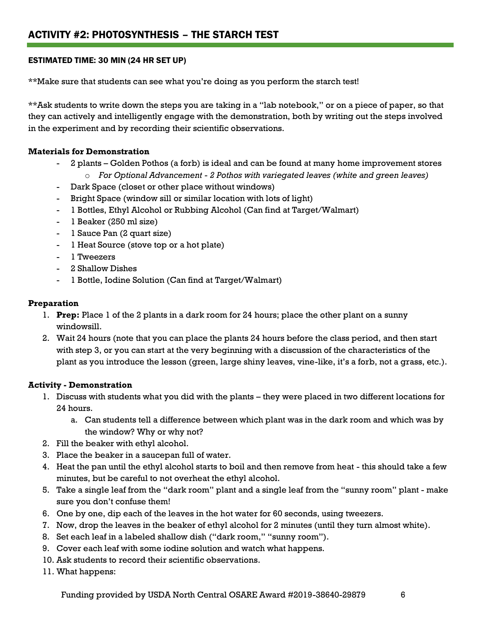#### ESTIMATED TIME: 30 MIN (24 HR SET UP)

\*\*Make sure that students can see what you're doing as you perform the starch test!

\*\*Ask students to write down the steps you are taking in a "lab notebook," or on a piece of paper, so that they can actively and intelligently engage with the demonstration, both by writing out the steps involved in the experiment and by recording their scientific observations.

#### **Materials for Demonstration**

- 2 plants Golden Pothos (a forb) is ideal and can be found at many home improvement stores o *For Optional Advancement - 2 Pothos with variegated leaves (white and green leaves)*
- Dark Space (closet or other place without windows)
- Bright Space (window sill or similar location with lots of light)
- 1 Bottles, Ethyl Alcohol or Rubbing Alcohol (Can find at Target/Walmart)
- 1 Beaker (250 ml size)
- 1 Sauce Pan (2 quart size)
- 1 Heat Source (stove top or a hot plate)
- 1 Tweezers
- 2 Shallow Dishes
- 1 Bottle, Iodine Solution (Can find at Target/Walmart)

#### **Preparation**

- 1. **Prep:** Place 1 of the 2 plants in a dark room for 24 hours; place the other plant on a sunny windowsill.
- 2. Wait 24 hours (note that you can place the plants 24 hours before the class period, and then start with step 3, or you can start at the very beginning with a discussion of the characteristics of the plant as you introduce the lesson (green, large shiny leaves, vine-like, it's a forb, not a grass, etc.).

#### **Activity - Demonstration**

- 1. Discuss with students what you did with the plants they were placed in two different locations for 24 hours.
	- a. Can students tell a difference between which plant was in the dark room and which was by the window? Why or why not?
- 2. Fill the beaker with ethyl alcohol.
- 3. Place the beaker in a saucepan full of water.
- 4. Heat the pan until the ethyl alcohol starts to boil and then remove from heat this should take a few minutes, but be careful to not overheat the ethyl alcohol.
- 5. Take a single leaf from the "dark room" plant and a single leaf from the "sunny room" plant make sure you don't confuse them!
- 6. One by one, dip each of the leaves in the hot water for 60 seconds, using tweezers.
- 7. Now, drop the leaves in the beaker of ethyl alcohol for 2 minutes (until they turn almost white).
- 8. Set each leaf in a labeled shallow dish ("dark room," "sunny room").
- 9. Cover each leaf with some iodine solution and watch what happens.
- 10. Ask students to record their scientific observations.
- 11. What happens:

Funding provided by USDA North Central OSARE Award #2019-38640-29879 6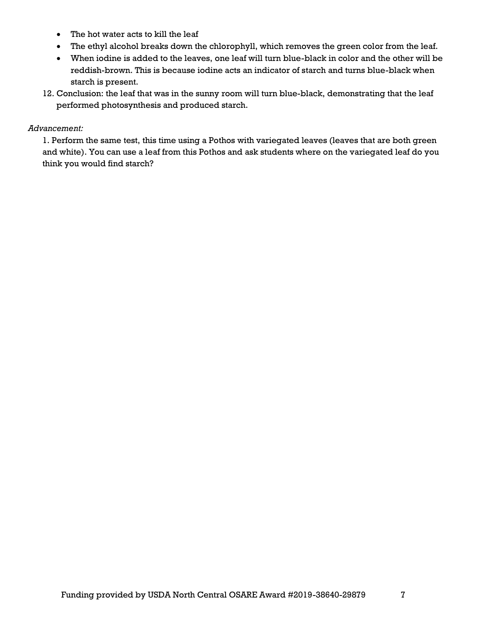- The hot water acts to kill the leaf
- The ethyl alcohol breaks down the chlorophyll, which removes the green color from the leaf.
- When iodine is added to the leaves, one leaf will turn blue-black in color and the other will be reddish-brown. This is because iodine acts an indicator of starch and turns blue-black when starch is present.
- 12. Conclusion: the leaf that was in the sunny room will turn blue-black, demonstrating that the leaf performed photosynthesis and produced starch.

#### *Advancement:*

1. Perform the same test, this time using a Pothos with variegated leaves (leaves that are both green and white). You can use a leaf from this Pothos and ask students where on the variegated leaf do you think you would find starch?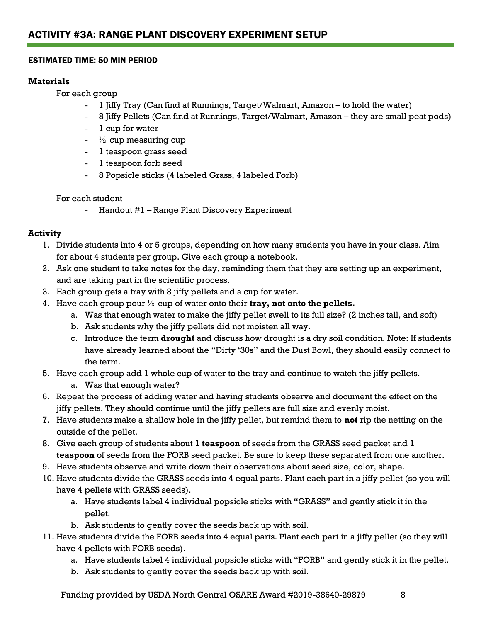#### ESTIMATED TIME: 50 MIN PERIOD

#### **Materials**

For each group

- 1 Jiffy Tray (Can find at Runnings, Target/Walmart, Amazon to hold the water)
- 8 Jiffy Pellets (Can find at Runnings, Target/Walmart, Amazon they are small peat pods)
- 1 cup for water
- $\frac{1}{2}$  cup measuring cup
- 1 teaspoon grass seed
- 1 teaspoon forb seed
- 8 Popsicle sticks (4 labeled Grass, 4 labeled Forb)

#### For each student

- Handout #1 – Range Plant Discovery Experiment

#### **Activity**

- 1. Divide students into 4 or 5 groups, depending on how many students you have in your class. Aim for about 4 students per group. Give each group a notebook.
- 2. Ask one student to take notes for the day, reminding them that they are setting up an experiment, and are taking part in the scientific process.
- 3. Each group gets a tray with 8 jiffy pellets and a cup for water.
- 4. Have each group pour ½ cup of water onto their **tray, not onto the pellets.** 
	- a. Was that enough water to make the jiffy pellet swell to its full size? (2 inches tall, and soft)
	- b. Ask students why the jiffy pellets did not moisten all way.
	- c. Introduce the term **drought** and discuss how drought is a dry soil condition. Note: If students have already learned about the "Dirty '30s" and the Dust Bowl, they should easily connect to the term.
- 5. Have each group add 1 whole cup of water to the tray and continue to watch the jiffy pellets.
	- a. Was that enough water?
- 6. Repeat the process of adding water and having students observe and document the effect on the jiffy pellets. They should continue until the jiffy pellets are full size and evenly moist.
- 7. Have students make a shallow hole in the jiffy pellet, but remind them to **not** rip the netting on the outside of the pellet.
- 8. Give each group of students about **1 teaspoon** of seeds from the GRASS seed packet and **1 teaspoon** of seeds from the FORB seed packet. Be sure to keep these separated from one another.
- 9. Have students observe and write down their observations about seed size, color, shape.
- 10. Have students divide the GRASS seeds into 4 equal parts. Plant each part in a jiffy pellet (so you will have 4 pellets with GRASS seeds).
	- a. Have students label 4 individual popsicle sticks with "GRASS" and gently stick it in the pellet.
	- b. Ask students to gently cover the seeds back up with soil.
- 11. Have students divide the FORB seeds into 4 equal parts. Plant each part in a jiffy pellet (so they will have 4 pellets with FORB seeds).
	- a. Have students label 4 individual popsicle sticks with "FORB" and gently stick it in the pellet.
	- b. Ask students to gently cover the seeds back up with soil.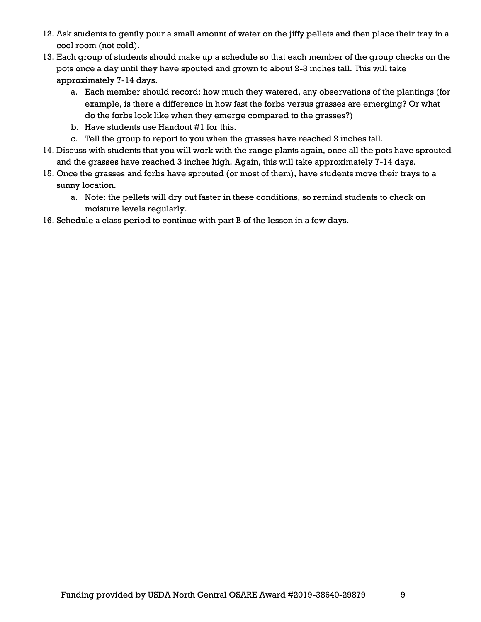- 12. Ask students to gently pour a small amount of water on the jiffy pellets and then place their tray in a cool room (not cold).
- 13. Each group of students should make up a schedule so that each member of the group checks on the pots once a day until they have spouted and grown to about 2-3 inches tall. This will take approximately 7-14 days.
	- a. Each member should record: how much they watered, any observations of the plantings (for example, is there a difference in how fast the forbs versus grasses are emerging? Or what do the forbs look like when they emerge compared to the grasses?)
	- b. Have students use Handout #1 for this.
	- c. Tell the group to report to you when the grasses have reached 2 inches tall.
- 14. Discuss with students that you will work with the range plants again, once all the pots have sprouted and the grasses have reached 3 inches high. Again, this will take approximately 7-14 days.
- 15. Once the grasses and forbs have sprouted (or most of them), have students move their trays to a sunny location.
	- a. Note: the pellets will dry out faster in these conditions, so remind students to check on moisture levels regularly.
- 16. Schedule a class period to continue with part B of the lesson in a few days.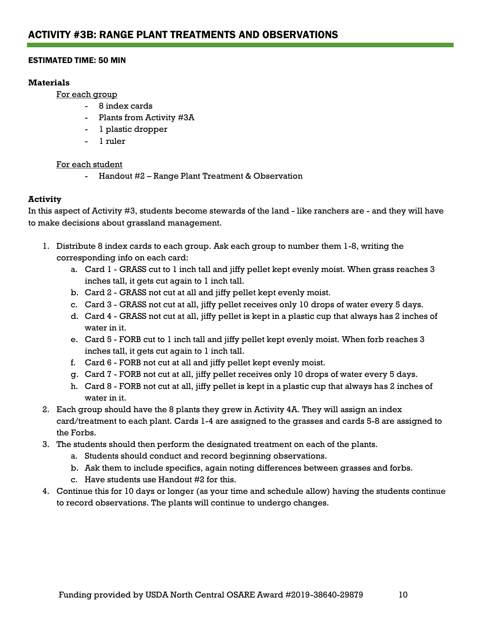#### ESTIMATED TIME: 50 MIN

#### **Materials**

For each group

- 8 index cards
- Plants from Activity #3A
- 1 plastic dropper
- 1 ruler

#### For each student

- Handout #2 – Range Plant Treatment & Observation

#### **Activity**

In this aspect of Activity #3, students become stewards of the land - like ranchers are - and they will have to make decisions about grassland management.

- 1. Distribute 8 index cards to each group. Ask each group to number them 1-8, writing the corresponding info on each card:
	- a. Card 1 GRASS cut to 1 inch tall and jiffy pellet kept evenly moist. When grass reaches 3 inches tall, it gets cut again to 1 inch tall.
	- b. Card 2 GRASS not cut at all and jiffy pellet kept evenly moist.
	- c. Card 3 GRASS not cut at all, jiffy pellet receives only 10 drops of water every 5 days.
	- d. Card 4 GRASS not cut at all, jiffy pellet is kept in a plastic cup that always has 2 inches of water in it.
	- e. Card 5 FORB cut to 1 inch tall and jiffy pellet kept evenly moist. When forb reaches 3 inches tall, it gets cut again to 1 inch tall.
	- f. Card 6 FORB not cut at all and jiffy pellet kept evenly moist.
	- g. Card 7 FORB not cut at all, jiffy pellet receives only 10 drops of water every 5 days.
	- h. Card 8 FORB not cut at all, jiffy pellet is kept in a plastic cup that always has 2 inches of water in it.
- 2. Each group should have the 8 plants they grew in Activity 4A. They will assign an index card/treatment to each plant. Cards 1-4 are assigned to the grasses and cards 5-8 are assigned to the Forbs.
- 3. The students should then perform the designated treatment on each of the plants.
	- a. Students should conduct and record beginning observations.
	- b. Ask them to include specifics, again noting differences between grasses and forbs.
	- c. Have students use Handout #2 for this.
- 4. Continue this for 10 days or longer (as your time and schedule allow) having the students continue to record observations. The plants will continue to undergo changes.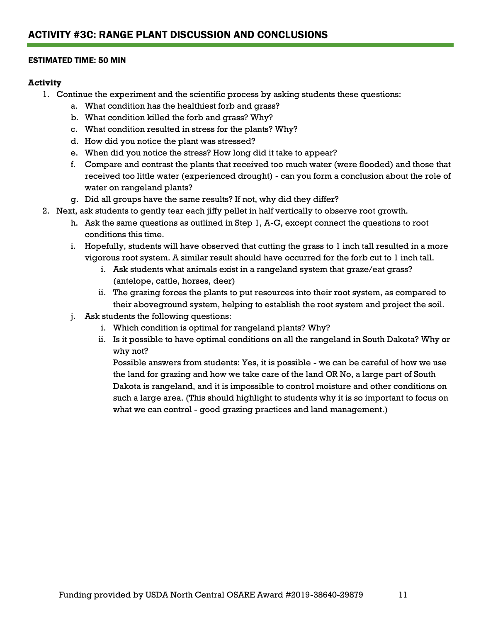#### ESTIMATED TIME: 50 MIN

#### **Activity**

- 1. Continue the experiment and the scientific process by asking students these questions:
	- a. What condition has the healthiest forb and grass?
	- b. What condition killed the forb and grass? Why?
	- c. What condition resulted in stress for the plants? Why?
	- d. How did you notice the plant was stressed?
	- e. When did you notice the stress? How long did it take to appear?
	- f. Compare and contrast the plants that received too much water (were flooded) and those that received too little water (experienced drought) - can you form a conclusion about the role of water on rangeland plants?
	- g. Did all groups have the same results? If not, why did they differ?
- 2. Next, ask students to gently tear each jiffy pellet in half vertically to observe root growth.
	- h. Ask the same questions as outlined in Step 1, A-G, except connect the questions to root conditions this time.
	- i. Hopefully, students will have observed that cutting the grass to 1 inch tall resulted in a more vigorous root system. A similar result should have occurred for the forb cut to 1 inch tall.
		- i. Ask students what animals exist in a rangeland system that graze/eat grass? (antelope, cattle, horses, deer)
		- ii. The grazing forces the plants to put resources into their root system, as compared to their aboveground system, helping to establish the root system and project the soil.
	- j. Ask students the following questions:
		- i. Which condition is optimal for rangeland plants? Why?
		- ii. Is it possible to have optimal conditions on all the rangeland in South Dakota? Why or why not?

Possible answers from students: Yes, it is possible - we can be careful of how we use the land for grazing and how we take care of the land OR No, a large part of South Dakota is rangeland, and it is impossible to control moisture and other conditions on such a large area. (This should highlight to students why it is so important to focus on what we can control - good grazing practices and land management.)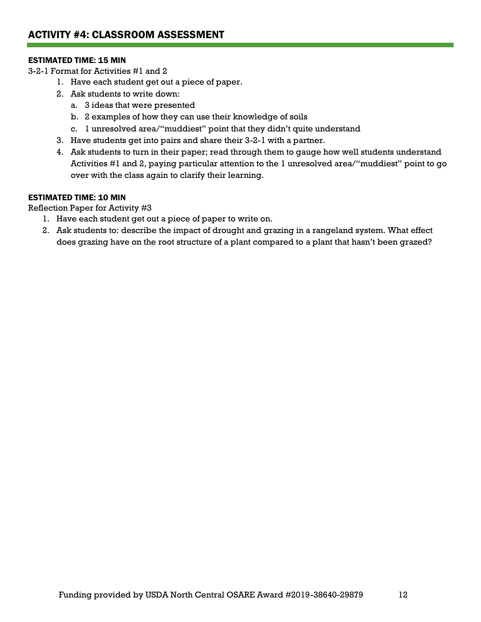#### ESTIMATED TIME: 15 MIN

3-2-1 Format for Activities #1 and 2

- 1. Have each student get out a piece of paper.
- 2. Ask students to write down:
	- a. 3 ideas that were presented
	- b. 2 examples of how they can use their knowledge of soils
	- c. 1 unresolved area/"muddiest" point that they didn't quite understand
- 3. Have students get into pairs and share their 3-2-1 with a partner.
- 4. Ask students to turn in their paper; read through them to gauge how well students understand Activities #1 and 2, paying particular attention to the 1 unresolved area/"muddiest" point to go over with the class again to clarify their learning.

#### ESTIMATED TIME: 10 MIN

Reflection Paper for Activity #3

- 1. Have each student get out a piece of paper to write on.
- 2. Ask students to: describe the impact of drought and grazing in a rangeland system. What effect does grazing have on the root structure of a plant compared to a plant that hasn't been grazed?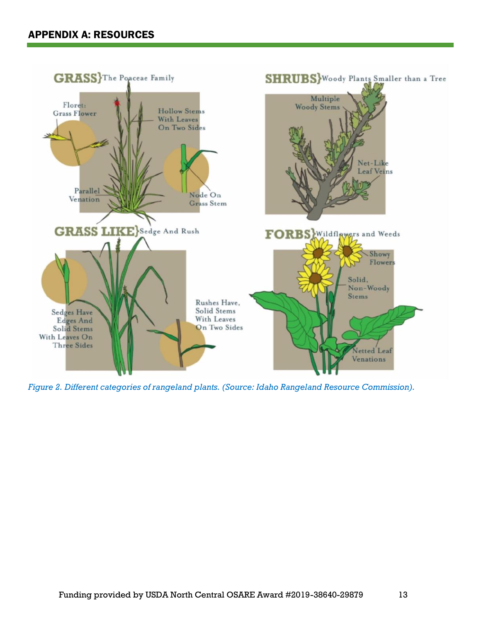

*Figure 2. Different categories of rangeland plants. (Source: Idaho Rangeland Resource Commission).*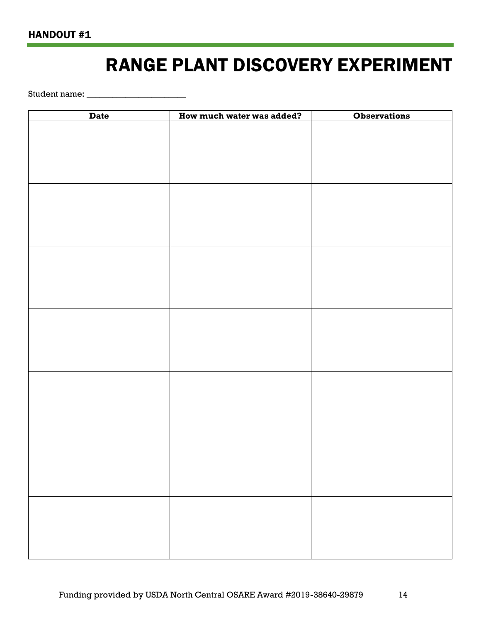## RANGE PLANT DISCOVERY EXPERIMENT

Student name: \_\_\_\_\_\_\_\_\_\_\_\_\_\_\_\_\_\_\_\_\_\_\_

| <b>Date</b> | How much water was added? | <b>Observations</b> |
|-------------|---------------------------|---------------------|
|             |                           |                     |
|             |                           |                     |
|             |                           |                     |
|             |                           |                     |
|             |                           |                     |
|             |                           |                     |
|             |                           |                     |
|             |                           |                     |
|             |                           |                     |
|             |                           |                     |
|             |                           |                     |
|             |                           |                     |
|             |                           |                     |
|             |                           |                     |
|             |                           |                     |
|             |                           |                     |
|             |                           |                     |
|             |                           |                     |
|             |                           |                     |
|             |                           |                     |
|             |                           |                     |
|             |                           |                     |
|             |                           |                     |
|             |                           |                     |
|             |                           |                     |
|             |                           |                     |
|             |                           |                     |
|             |                           |                     |
|             |                           |                     |
|             |                           |                     |
|             |                           |                     |
|             |                           |                     |
|             |                           |                     |
|             |                           |                     |
|             |                           |                     |
|             |                           |                     |
|             |                           |                     |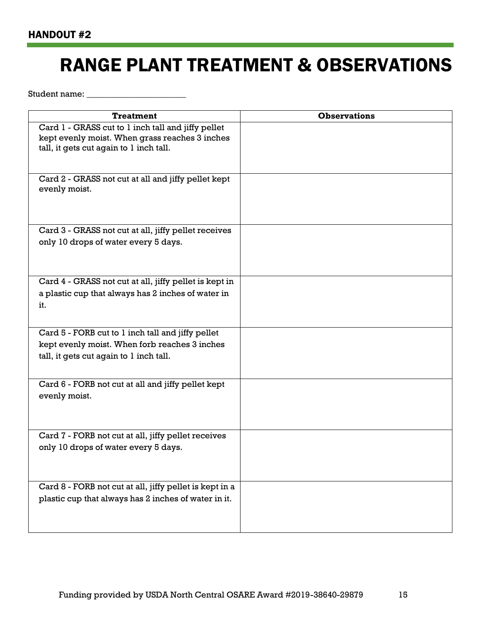# RANGE PLANT TREATMENT & OBSERVATIONS

Student name: \_\_\_\_\_\_\_\_\_\_\_\_\_\_\_\_\_\_\_\_\_\_\_

| <b>Treatment</b>                                                     | <b>Observations</b> |
|----------------------------------------------------------------------|---------------------|
| Card 1 - GRASS cut to 1 inch tall and jiffy pellet                   |                     |
| kept evenly moist. When grass reaches 3 inches                       |                     |
| tall, it gets cut again to 1 inch tall.                              |                     |
|                                                                      |                     |
| Card 2 - GRASS not cut at all and jiffy pellet kept<br>evenly moist. |                     |
|                                                                      |                     |
| Card 3 - GRASS not cut at all, jiffy pellet receives                 |                     |
| only 10 drops of water every 5 days.                                 |                     |
|                                                                      |                     |
|                                                                      |                     |
| Card 4 - GRASS not cut at all, jiffy pellet is kept in               |                     |
| a plastic cup that always has 2 inches of water in                   |                     |
| it.                                                                  |                     |
|                                                                      |                     |
| Card 5 - FORB cut to 1 inch tall and jiffy pellet                    |                     |
| kept evenly moist. When forb reaches 3 inches                        |                     |
| tall, it gets cut again to 1 inch tall.                              |                     |
|                                                                      |                     |
| Card 6 - FORB not cut at all and jiffy pellet kept                   |                     |
| evenly moist.                                                        |                     |
|                                                                      |                     |
|                                                                      |                     |
| Card 7 - FORB not cut at all, jiffy pellet receives                  |                     |
| only 10 drops of water every 5 days.                                 |                     |
|                                                                      |                     |
|                                                                      |                     |
| Card 8 - FORB not cut at all, jiffy pellet is kept in a              |                     |
| plastic cup that always has 2 inches of water in it.                 |                     |
|                                                                      |                     |
|                                                                      |                     |